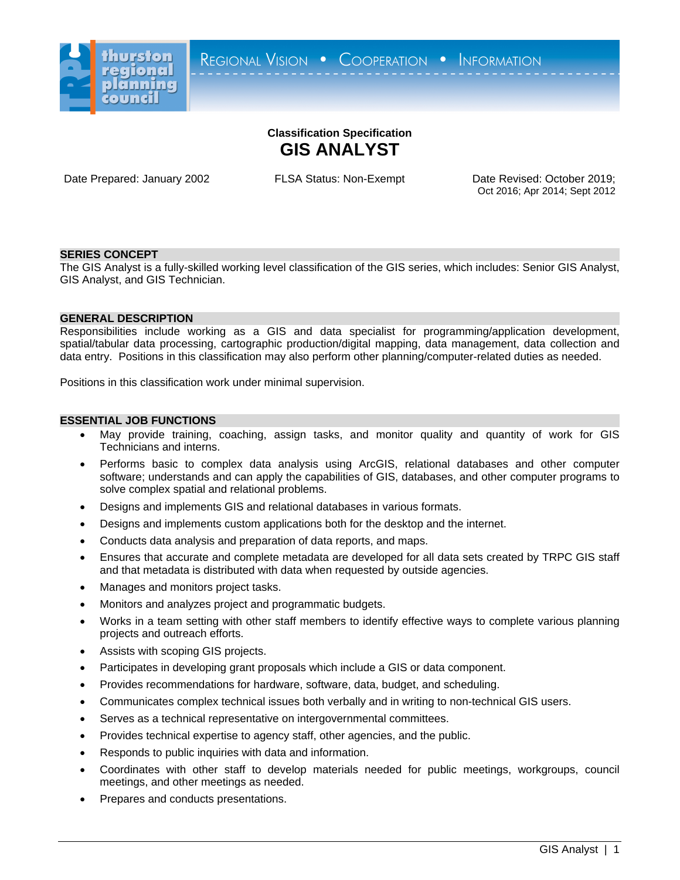

# **Classification Specification GIS ANALYST**

Date Prepared: January 2002 FLSA Status: Non-Exempt Date Revised: October 2019;

Oct 2016; Apr 2014; Sept 2012

## **SERIES CONCEPT**

The GIS Analyst is a fully-skilled working level classification of the GIS series, which includes: Senior GIS Analyst, GIS Analyst, and GIS Technician.

### **GENERAL DESCRIPTION**

Responsibilities include working as a GIS and data specialist for programming/application development, spatial/tabular data processing, cartographic production/digital mapping, data management, data collection and data entry. Positions in this classification may also perform other planning/computer-related duties as needed.

Positions in this classification work under minimal supervision.

# **ESSENTIAL JOB FUNCTIONS**

- May provide training, coaching, assign tasks, and monitor quality and quantity of work for GIS Technicians and interns.
- Performs basic to complex data analysis using ArcGIS, relational databases and other computer software; understands and can apply the capabilities of GIS, databases, and other computer programs to solve complex spatial and relational problems.
- Designs and implements GIS and relational databases in various formats.
- Designs and implements custom applications both for the desktop and the internet.
- Conducts data analysis and preparation of data reports, and maps.
- Ensures that accurate and complete metadata are developed for all data sets created by TRPC GIS staff and that metadata is distributed with data when requested by outside agencies.
- Manages and monitors project tasks.
- Monitors and analyzes project and programmatic budgets.
- Works in a team setting with other staff members to identify effective ways to complete various planning projects and outreach efforts.
- Assists with scoping GIS projects.
- Participates in developing grant proposals which include a GIS or data component.
- Provides recommendations for hardware, software, data, budget, and scheduling.
- Communicates complex technical issues both verbally and in writing to non-technical GIS users.
- Serves as a technical representative on intergovernmental committees.
- Provides technical expertise to agency staff, other agencies, and the public.
- Responds to public inquiries with data and information.
- Coordinates with other staff to develop materials needed for public meetings, workgroups, council meetings, and other meetings as needed.
- Prepares and conducts presentations.